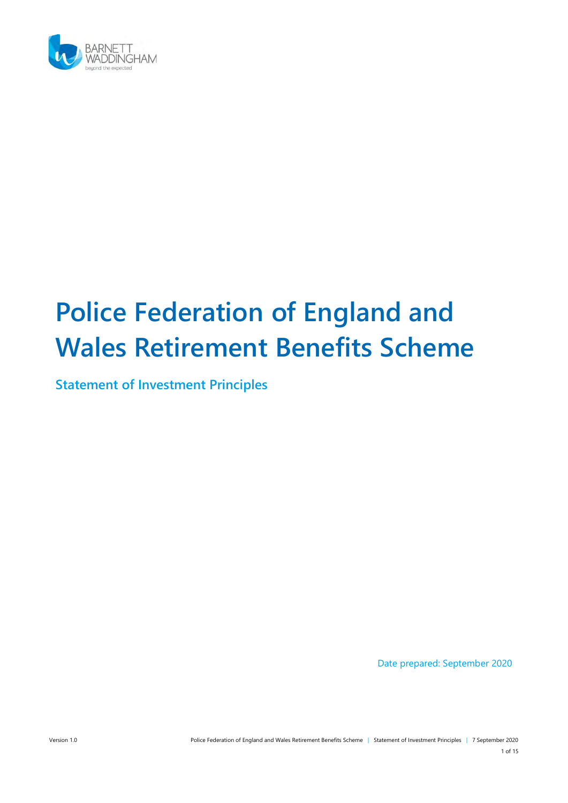

# Police Federation of England and Wales Retirement Benefits Scheme

Statement of Investment Principles

Date prepared: September 2020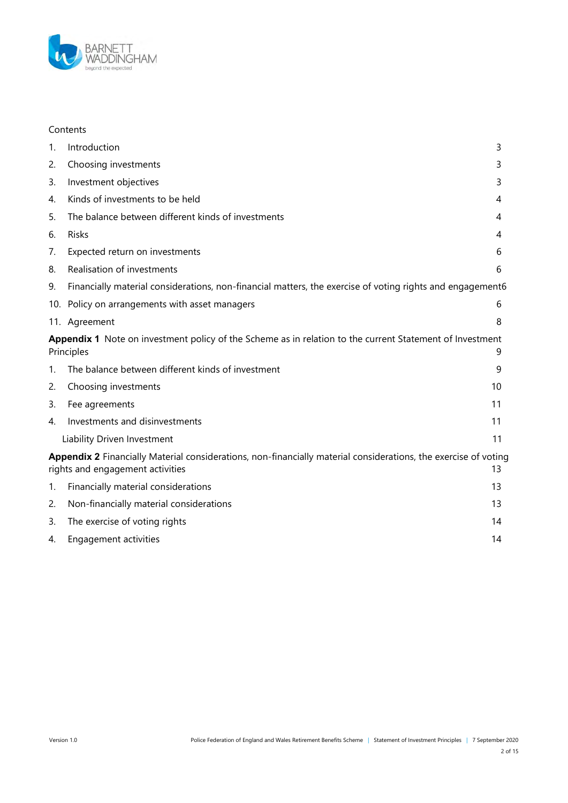

#### Contents

| 1.                                                                                                                                                        | Introduction                                                                                              | 3  |  |
|-----------------------------------------------------------------------------------------------------------------------------------------------------------|-----------------------------------------------------------------------------------------------------------|----|--|
| 2.                                                                                                                                                        | Choosing investments                                                                                      | 3  |  |
| 3.                                                                                                                                                        | Investment objectives                                                                                     | 3  |  |
| 4.                                                                                                                                                        | Kinds of investments to be held                                                                           | 4  |  |
| 5.                                                                                                                                                        | The balance between different kinds of investments                                                        | 4  |  |
| 6.                                                                                                                                                        | <b>Risks</b>                                                                                              | 4  |  |
| 7.                                                                                                                                                        | Expected return on investments                                                                            | 6  |  |
| 8.                                                                                                                                                        | Realisation of investments                                                                                | 6  |  |
| 9.                                                                                                                                                        | Financially material considerations, non-financial matters, the exercise of voting rights and engagement6 |    |  |
|                                                                                                                                                           | 10. Policy on arrangements with asset managers                                                            | 6  |  |
|                                                                                                                                                           | 11. Agreement                                                                                             | 8  |  |
| Appendix 1 Note on investment policy of the Scheme as in relation to the current Statement of Investment<br>Principles<br>9                               |                                                                                                           |    |  |
| 1.                                                                                                                                                        | The balance between different kinds of investment                                                         | 9  |  |
| 2.                                                                                                                                                        | Choosing investments                                                                                      | 10 |  |
| 3.                                                                                                                                                        | Fee agreements                                                                                            | 11 |  |
| 4.                                                                                                                                                        | Investments and disinvestments                                                                            | 11 |  |
|                                                                                                                                                           | Liability Driven Investment                                                                               | 11 |  |
| Appendix 2 Financially Material considerations, non-financially material considerations, the exercise of voting<br>rights and engagement activities<br>13 |                                                                                                           |    |  |
| 1.                                                                                                                                                        | Financially material considerations                                                                       | 13 |  |
| 2.                                                                                                                                                        | Non-financially material considerations                                                                   | 13 |  |
| 3.                                                                                                                                                        | The exercise of voting rights                                                                             | 14 |  |
| 4.                                                                                                                                                        | Engagement activities                                                                                     | 14 |  |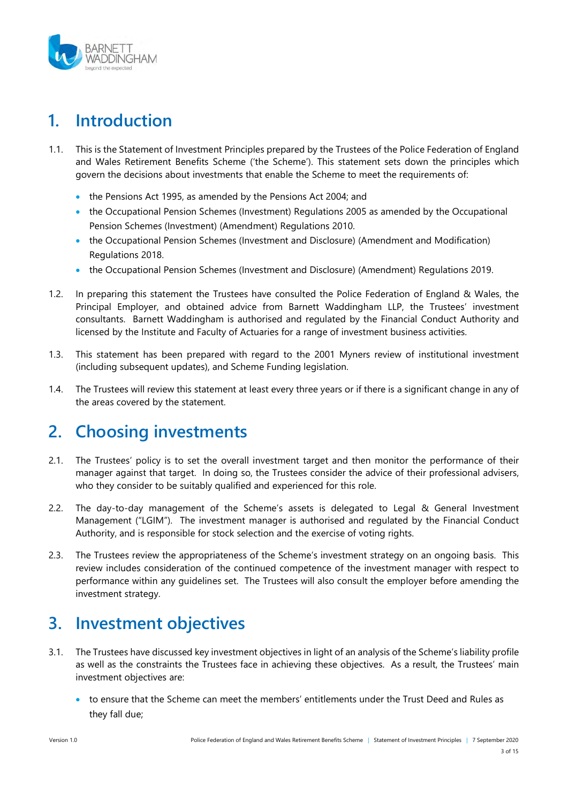

# 1. Introduction

- 1.1. This is the Statement of Investment Principles prepared by the Trustees of the Police Federation of England and Wales Retirement Benefits Scheme ('the Scheme'). This statement sets down the principles which govern the decisions about investments that enable the Scheme to meet the requirements of:
	- the Pensions Act 1995, as amended by the Pensions Act 2004; and
	- the Occupational Pension Schemes (Investment) Regulations 2005 as amended by the Occupational Pension Schemes (Investment) (Amendment) Regulations 2010.
	- the Occupational Pension Schemes (Investment and Disclosure) (Amendment and Modification) Regulations 2018.
	- the Occupational Pension Schemes (Investment and Disclosure) (Amendment) Regulations 2019.
- 1.2. In preparing this statement the Trustees have consulted the Police Federation of England & Wales, the Principal Employer, and obtained advice from Barnett Waddingham LLP, the Trustees' investment consultants. Barnett Waddingham is authorised and regulated by the Financial Conduct Authority and licensed by the Institute and Faculty of Actuaries for a range of investment business activities.
- 1.3. This statement has been prepared with regard to the 2001 Myners review of institutional investment (including subsequent updates), and Scheme Funding legislation.
- 1.4. The Trustees will review this statement at least every three years or if there is a significant change in any of the areas covered by the statement.

# 2. Choosing investments

- 2.1. The Trustees' policy is to set the overall investment target and then monitor the performance of their manager against that target. In doing so, the Trustees consider the advice of their professional advisers, who they consider to be suitably qualified and experienced for this role.
- 2.2. The day-to-day management of the Scheme's assets is delegated to Legal & General Investment Management ("LGIM"). The investment manager is authorised and regulated by the Financial Conduct Authority, and is responsible for stock selection and the exercise of voting rights.
- 2.3. The Trustees review the appropriateness of the Scheme's investment strategy on an ongoing basis. This review includes consideration of the continued competence of the investment manager with respect to performance within any guidelines set. The Trustees will also consult the employer before amending the investment strategy.

# 3. Investment objectives

- 3.1. The Trustees have discussed key investment objectives in light of an analysis of the Scheme's liability profile as well as the constraints the Trustees face in achieving these objectives. As a result, the Trustees' main investment objectives are:
	- to ensure that the Scheme can meet the members' entitlements under the Trust Deed and Rules as they fall due;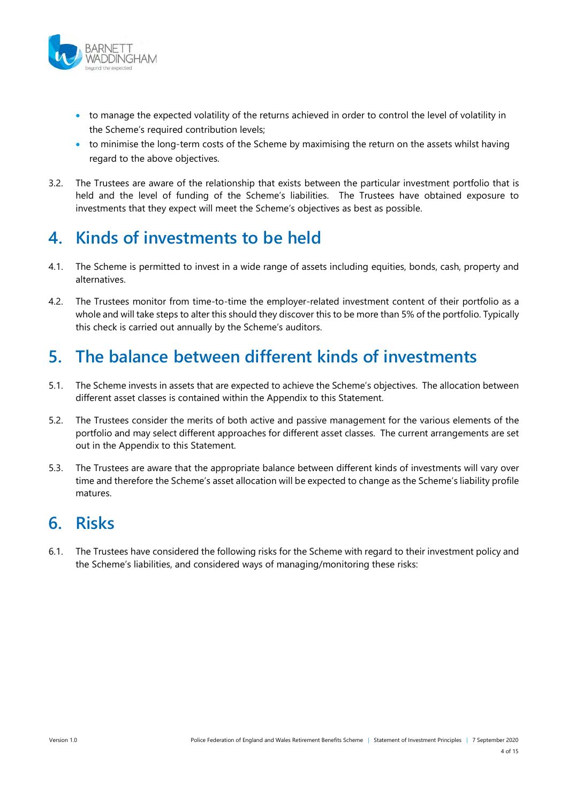

- to manage the expected volatility of the returns achieved in order to control the level of volatility in the Scheme's required contribution levels;
- to minimise the long-term costs of the Scheme by maximising the return on the assets whilst having regard to the above objectives.
- 3.2. The Trustees are aware of the relationship that exists between the particular investment portfolio that is held and the level of funding of the Scheme's liabilities. The Trustees have obtained exposure to investments that they expect will meet the Scheme's objectives as best as possible.

# 4. Kinds of investments to be held

- 4.1. The Scheme is permitted to invest in a wide range of assets including equities, bonds, cash, property and alternatives.
- 4.2. The Trustees monitor from time-to-time the employer-related investment content of their portfolio as a whole and will take steps to alter this should they discover this to be more than 5% of the portfolio. Typically this check is carried out annually by the Scheme's auditors.

# 5. The balance between different kinds of investments

- 5.1. The Scheme invests in assets that are expected to achieve the Scheme's objectives. The allocation between different asset classes is contained within the Appendix to this Statement.
- 5.2. The Trustees consider the merits of both active and passive management for the various elements of the portfolio and may select different approaches for different asset classes. The current arrangements are set out in the Appendix to this Statement.
- 5.3. The Trustees are aware that the appropriate balance between different kinds of investments will vary over time and therefore the Scheme's asset allocation will be expected to change as the Scheme's liability profile matures.

### 6. Risks

6.1. The Trustees have considered the following risks for the Scheme with regard to their investment policy and the Scheme's liabilities, and considered ways of managing/monitoring these risks: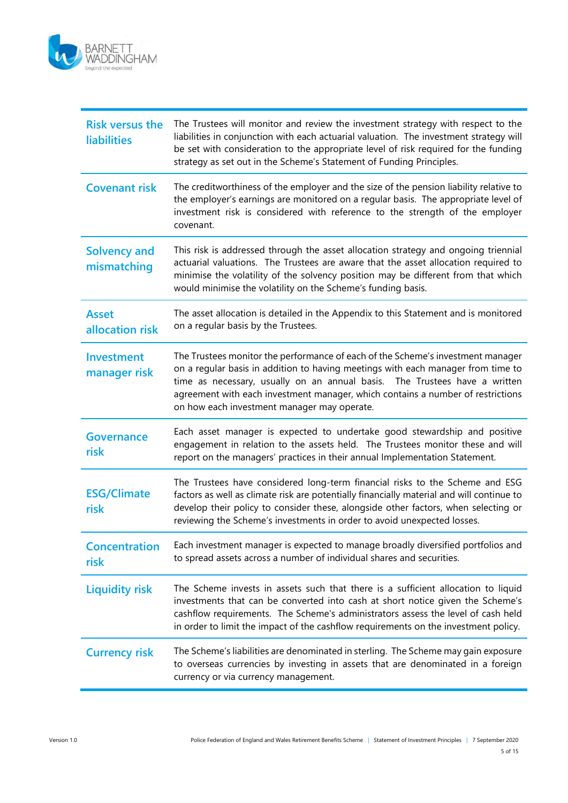

| <b>Risk versus the</b><br><b>liabilities</b> | The Trustees will monitor and review the investment strategy with respect to the<br>liabilities in conjunction with each actuarial valuation. The investment strategy will<br>be set with consideration to the appropriate level of risk required for the funding<br>strategy as set out in the Scheme's Statement of Funding Principles.                                              |
|----------------------------------------------|----------------------------------------------------------------------------------------------------------------------------------------------------------------------------------------------------------------------------------------------------------------------------------------------------------------------------------------------------------------------------------------|
| <b>Covenant risk</b>                         | The creditworthiness of the employer and the size of the pension liability relative to<br>the employer's earnings are monitored on a regular basis. The appropriate level of<br>investment risk is considered with reference to the strength of the employer<br>covenant.                                                                                                              |
| <b>Solvency and</b><br>mismatching           | This risk is addressed through the asset allocation strategy and ongoing triennial<br>actuarial valuations. The Trustees are aware that the asset allocation required to<br>minimise the volatility of the solvency position may be different from that which<br>would minimise the volatility on the Scheme's funding basis.                                                          |
| <b>Asset</b><br>allocation risk              | The asset allocation is detailed in the Appendix to this Statement and is monitored<br>on a regular basis by the Trustees.                                                                                                                                                                                                                                                             |
| Investment<br>manager risk                   | The Trustees monitor the performance of each of the Scheme's investment manager<br>on a regular basis in addition to having meetings with each manager from time to<br>time as necessary, usually on an annual basis.<br>The Trustees have a written<br>agreement with each investment manager, which contains a number of restrictions<br>on how each investment manager may operate. |
| <b>Governance</b><br>risk                    | Each asset manager is expected to undertake good stewardship and positive<br>engagement in relation to the assets held. The Trustees monitor these and will<br>report on the managers' practices in their annual Implementation Statement.                                                                                                                                             |
| <b>ESG/Climate</b><br>risk                   | The Trustees have considered long-term financial risks to the Scheme and ESG<br>factors as well as climate risk are potentially financially material and will continue to<br>develop their policy to consider these, alongside other factors, when selecting or<br>reviewing the Scheme's investments in order to avoid unexpected losses.                                             |
| <b>Concentration</b><br>risk                 | Each investment manager is expected to manage broadly diversified portfolios and<br>to spread assets across a number of individual shares and securities.                                                                                                                                                                                                                              |
| <b>Liquidity risk</b>                        | The Scheme invests in assets such that there is a sufficient allocation to liquid<br>investments that can be converted into cash at short notice given the Scheme's<br>cashflow requirements. The Scheme's administrators assess the level of cash held<br>in order to limit the impact of the cashflow requirements on the investment policy.                                         |
| <b>Currency risk</b>                         | The Scheme's liabilities are denominated in sterling. The Scheme may gain exposure<br>to overseas currencies by investing in assets that are denominated in a foreign<br>currency or via currency management.                                                                                                                                                                          |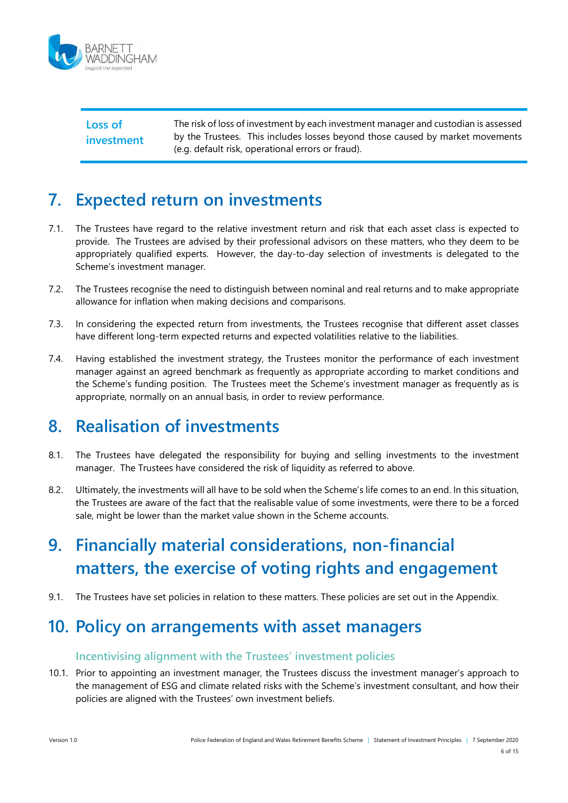

Loss of investment The risk of loss of investment by each investment manager and custodian is assessed by the Trustees. This includes losses beyond those caused by market movements (e.g. default risk, operational errors or fraud).

# 7. Expected return on investments

- 7.1. The Trustees have regard to the relative investment return and risk that each asset class is expected to provide. The Trustees are advised by their professional advisors on these matters, who they deem to be appropriately qualified experts. However, the day-to-day selection of investments is delegated to the Scheme's investment manager.
- 7.2. The Trustees recognise the need to distinguish between nominal and real returns and to make appropriate allowance for inflation when making decisions and comparisons.
- 7.3. In considering the expected return from investments, the Trustees recognise that different asset classes have different long-term expected returns and expected volatilities relative to the liabilities.
- 7.4. Having established the investment strategy, the Trustees monitor the performance of each investment manager against an agreed benchmark as frequently as appropriate according to market conditions and the Scheme's funding position. The Trustees meet the Scheme's investment manager as frequently as is appropriate, normally on an annual basis, in order to review performance.

### 8. Realisation of investments

- 8.1. The Trustees have delegated the responsibility for buying and selling investments to the investment manager. The Trustees have considered the risk of liquidity as referred to above.
- 8.2. Ultimately, the investments will all have to be sold when the Scheme's life comes to an end. In this situation, the Trustees are aware of the fact that the realisable value of some investments, were there to be a forced sale, might be lower than the market value shown in the Scheme accounts.

# 9. Financially material considerations, non-financial matters, the exercise of voting rights and engagement

9.1. The Trustees have set policies in relation to these matters. These policies are set out in the Appendix.

### 10. Policy on arrangements with asset managers

#### Incentivising alignment with the Trustees' investment policies

10.1. Prior to appointing an investment manager, the Trustees discuss the investment manager's approach to the management of ESG and climate related risks with the Scheme's investment consultant, and how their policies are aligned with the Trustees' own investment beliefs.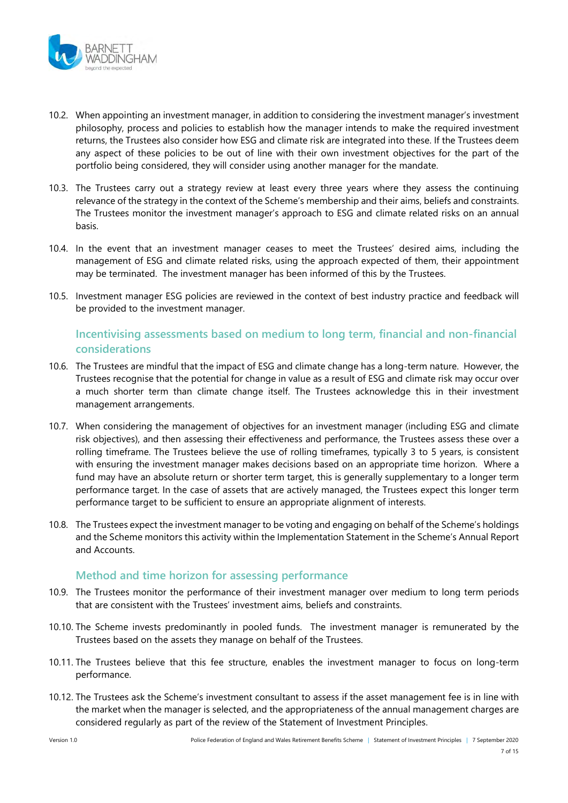

- 10.2. When appointing an investment manager, in addition to considering the investment manager's investment philosophy, process and policies to establish how the manager intends to make the required investment returns, the Trustees also consider how ESG and climate risk are integrated into these. If the Trustees deem any aspect of these policies to be out of line with their own investment objectives for the part of the portfolio being considered, they will consider using another manager for the mandate.
- 10.3. The Trustees carry out a strategy review at least every three years where they assess the continuing relevance of the strategy in the context of the Scheme's membership and their aims, beliefs and constraints. The Trustees monitor the investment manager's approach to ESG and climate related risks on an annual basis.
- 10.4. In the event that an investment manager ceases to meet the Trustees' desired aims, including the management of ESG and climate related risks, using the approach expected of them, their appointment may be terminated. The investment manager has been informed of this by the Trustees.
- 10.5. Investment manager ESG policies are reviewed in the context of best industry practice and feedback will be provided to the investment manager.

#### Incentivising assessments based on medium to long term, financial and non-financial considerations

- 10.6. The Trustees are mindful that the impact of ESG and climate change has a long-term nature. However, the Trustees recognise that the potential for change in value as a result of ESG and climate risk may occur over a much shorter term than climate change itself. The Trustees acknowledge this in their investment management arrangements.
- 10.7. When considering the management of objectives for an investment manager (including ESG and climate risk objectives), and then assessing their effectiveness and performance, the Trustees assess these over a rolling timeframe. The Trustees believe the use of rolling timeframes, typically 3 to 5 years, is consistent with ensuring the investment manager makes decisions based on an appropriate time horizon. Where a fund may have an absolute return or shorter term target, this is generally supplementary to a longer term performance target. In the case of assets that are actively managed, the Trustees expect this longer term performance target to be sufficient to ensure an appropriate alignment of interests.
- 10.8. The Trustees expect the investment manager to be voting and engaging on behalf of the Scheme's holdings and the Scheme monitors this activity within the Implementation Statement in the Scheme's Annual Report and Accounts.

#### Method and time horizon for assessing performance

- 10.9. The Trustees monitor the performance of their investment manager over medium to long term periods that are consistent with the Trustees' investment aims, beliefs and constraints.
- 10.10. The Scheme invests predominantly in pooled funds. The investment manager is remunerated by the Trustees based on the assets they manage on behalf of the Trustees.
- 10.11. The Trustees believe that this fee structure, enables the investment manager to focus on long-term performance.
- 10.12. The Trustees ask the Scheme's investment consultant to assess if the asset management fee is in line with the market when the manager is selected, and the appropriateness of the annual management charges are considered regularly as part of the review of the Statement of Investment Principles.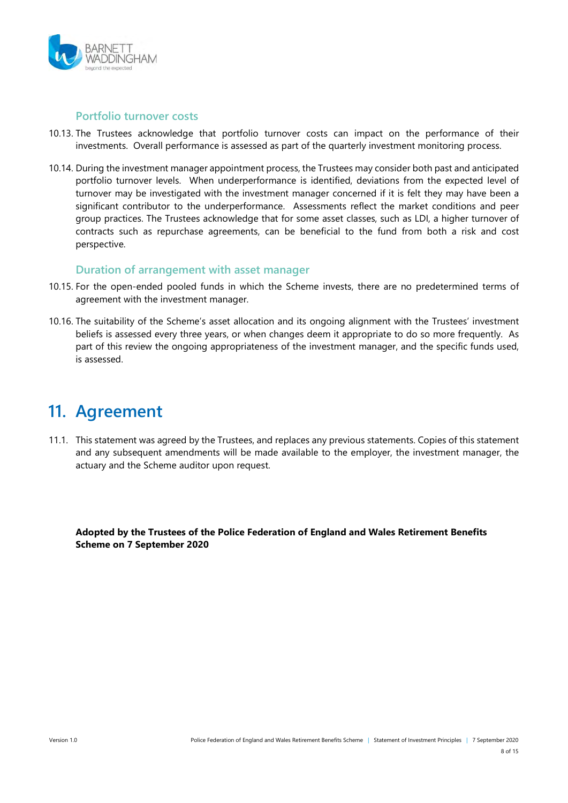

#### Portfolio turnover costs

- 10.13. The Trustees acknowledge that portfolio turnover costs can impact on the performance of their investments. Overall performance is assessed as part of the quarterly investment monitoring process.
- 10.14. During the investment manager appointment process, the Trustees may consider both past and anticipated portfolio turnover levels. When underperformance is identified, deviations from the expected level of turnover may be investigated with the investment manager concerned if it is felt they may have been a significant contributor to the underperformance. Assessments reflect the market conditions and peer group practices. The Trustees acknowledge that for some asset classes, such as LDI, a higher turnover of contracts such as repurchase agreements, can be beneficial to the fund from both a risk and cost perspective.

#### Duration of arrangement with asset manager

- 10.15. For the open-ended pooled funds in which the Scheme invests, there are no predetermined terms of agreement with the investment manager.
- 10.16. The suitability of the Scheme's asset allocation and its ongoing alignment with the Trustees' investment beliefs is assessed every three years, or when changes deem it appropriate to do so more frequently. As part of this review the ongoing appropriateness of the investment manager, and the specific funds used, is assessed.

### 11. Agreement

11.1. This statement was agreed by the Trustees, and replaces any previous statements. Copies of this statement and any subsequent amendments will be made available to the employer, the investment manager, the actuary and the Scheme auditor upon request.

Adopted by the Trustees of the Police Federation of England and Wales Retirement Benefits Scheme on 7 September 2020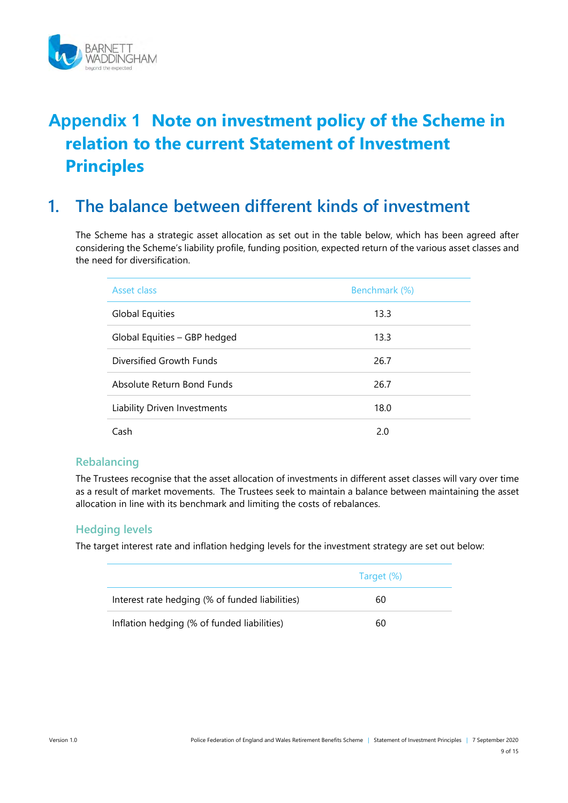

# Appendix 1 Note on investment policy of the Scheme in relation to the current Statement of Investment **Principles**

### 1. The balance between different kinds of investment

The Scheme has a strategic asset allocation as set out in the table below, which has been agreed after considering the Scheme's liability profile, funding position, expected return of the various asset classes and the need for diversification.

| Asset class                  | Benchmark (%) |
|------------------------------|---------------|
| Global Equities              | 13.3          |
| Global Equities - GBP hedged | 13.3          |
| Diversified Growth Funds     | 26.7          |
| Absolute Return Bond Funds   | 26.7          |
| Liability Driven Investments | 18.0          |
| Cash                         | 2.0           |

#### Rebalancing

The Trustees recognise that the asset allocation of investments in different asset classes will vary over time as a result of market movements. The Trustees seek to maintain a balance between maintaining the asset allocation in line with its benchmark and limiting the costs of rebalances.

#### Hedging levels

The target interest rate and inflation hedging levels for the investment strategy are set out below:

|                                                 | Target (%) |
|-------------------------------------------------|------------|
| Interest rate hedging (% of funded liabilities) | 60         |
| Inflation hedging (% of funded liabilities)     | 60         |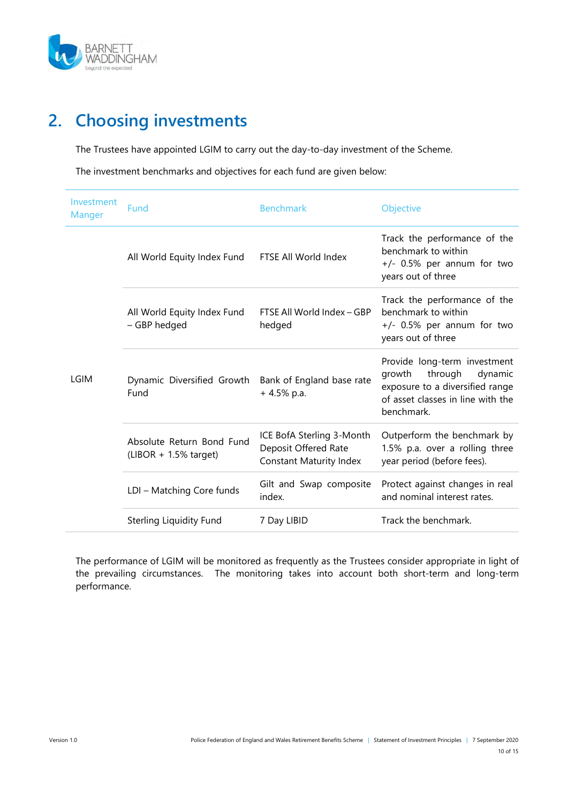

# 2. Choosing investments

The Trustees have appointed LGIM to carry out the day-to-day investment of the Scheme.

The investment benchmarks and objectives for each fund are given below:

| Investment<br>Manger | Fund                                                  | <b>Benchmark</b>                                                                    | Objective                                                                                                                                          |
|----------------------|-------------------------------------------------------|-------------------------------------------------------------------------------------|----------------------------------------------------------------------------------------------------------------------------------------------------|
|                      | All World Equity Index Fund                           | FTSE All World Index                                                                | Track the performance of the<br>benchmark to within<br>+/- 0.5% per annum for two<br>years out of three                                            |
|                      | All World Equity Index Fund<br>- GBP hedged           | FTSE All World Index - GBP<br>hedged                                                | Track the performance of the<br>benchmark to within<br>$+/-$ 0.5% per annum for two<br>years out of three                                          |
| <b>LGIM</b>          | Dynamic Diversified Growth<br>Fund                    | Bank of England base rate<br>$+4.5\%$ p.a.                                          | Provide long-term investment<br>growth<br>through<br>dynamic<br>exposure to a diversified range<br>of asset classes in line with the<br>benchmark. |
|                      | Absolute Return Bond Fund<br>$(LIBOR + 1.5\%$ target) | ICE BofA Sterling 3-Month<br>Deposit Offered Rate<br><b>Constant Maturity Index</b> | Outperform the benchmark by<br>1.5% p.a. over a rolling three<br>year period (before fees).                                                        |
|                      | LDI - Matching Core funds                             | Gilt and Swap composite<br>index.                                                   | Protect against changes in real<br>and nominal interest rates.                                                                                     |
|                      | Sterling Liquidity Fund                               | 7 Day LIBID                                                                         | Track the benchmark.                                                                                                                               |

The performance of LGIM will be monitored as frequently as the Trustees consider appropriate in light of the prevailing circumstances. The monitoring takes into account both short-term and long-term performance.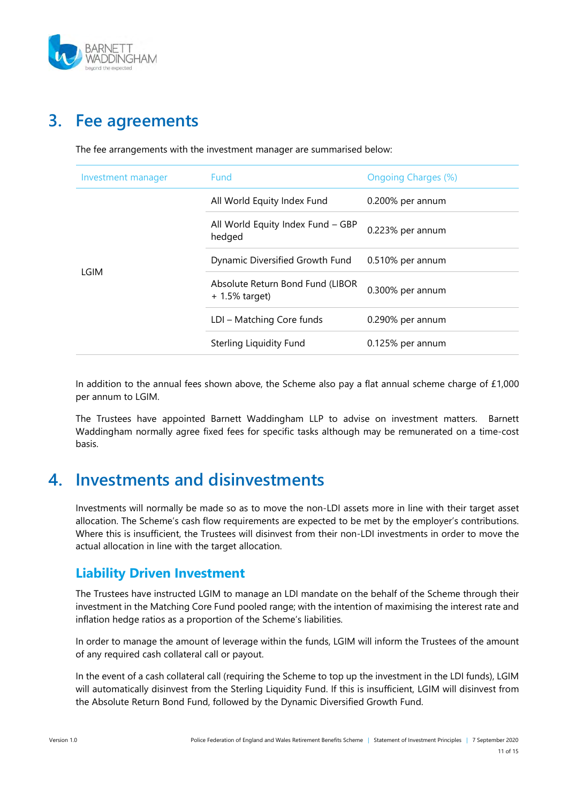

# 3. Fee agreements

| Investment manager | Fund                                                  | <b>Ongoing Charges (%)</b> |
|--------------------|-------------------------------------------------------|----------------------------|
|                    | All World Equity Index Fund                           | 0.200% per annum           |
|                    | All World Equity Index Fund - GBP<br>hedged           | 0.223% per annum           |
|                    | Dynamic Diversified Growth Fund                       | 0.510% per annum           |
| LGIM               | Absolute Return Bond Fund (LIBOR<br>$+ 1.5\%$ target) | 0.300% per annum           |
|                    | LDI - Matching Core funds                             | 0.290% per annum           |
|                    | Sterling Liquidity Fund                               | $0.125%$ per annum         |
|                    |                                                       |                            |

The fee arrangements with the investment manager are summarised below:

In addition to the annual fees shown above, the Scheme also pay a flat annual scheme charge of £1,000 per annum to LGIM.

The Trustees have appointed Barnett Waddingham LLP to advise on investment matters. Barnett Waddingham normally agree fixed fees for specific tasks although may be remunerated on a time-cost basis.

### 4. Investments and disinvestments

Investments will normally be made so as to move the non-LDI assets more in line with their target asset allocation. The Scheme's cash flow requirements are expected to be met by the employer's contributions. Where this is insufficient, the Trustees will disinvest from their non-LDI investments in order to move the actual allocation in line with the target allocation.

### Liability Driven Investment

The Trustees have instructed LGIM to manage an LDI mandate on the behalf of the Scheme through their investment in the Matching Core Fund pooled range; with the intention of maximising the interest rate and inflation hedge ratios as a proportion of the Scheme's liabilities.

In order to manage the amount of leverage within the funds, LGIM will inform the Trustees of the amount of any required cash collateral call or payout.

In the event of a cash collateral call (requiring the Scheme to top up the investment in the LDI funds), LGIM will automatically disinvest from the Sterling Liquidity Fund. If this is insufficient, LGIM will disinvest from the Absolute Return Bond Fund, followed by the Dynamic Diversified Growth Fund.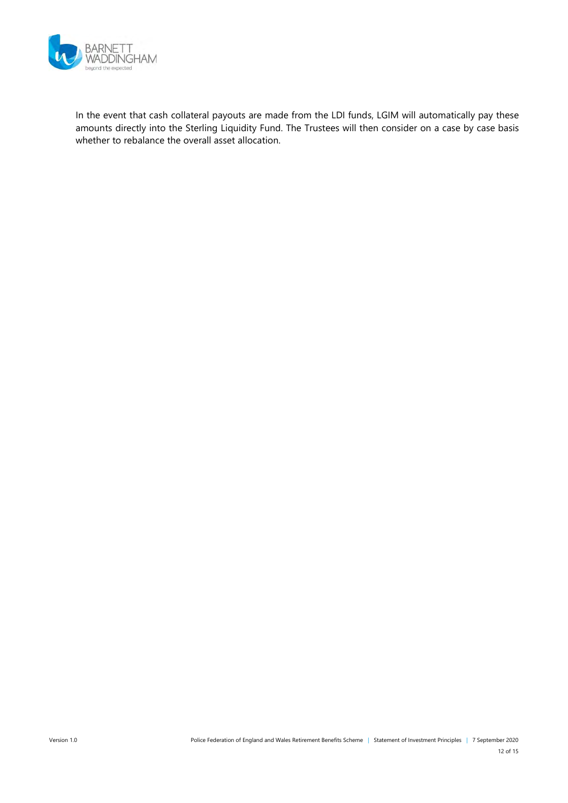

In the event that cash collateral payouts are made from the LDI funds, LGIM will automatically pay these amounts directly into the Sterling Liquidity Fund. The Trustees will then consider on a case by case basis whether to rebalance the overall asset allocation.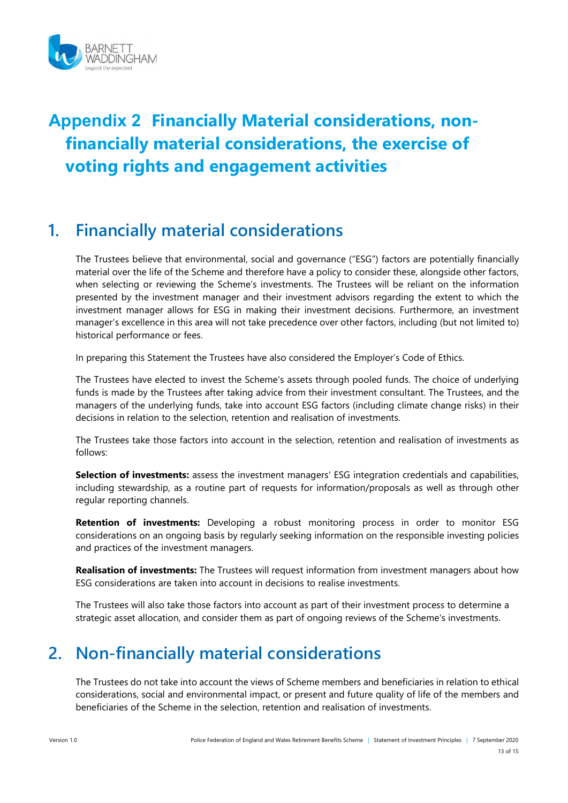

# Appendix 2 Financially Material considerations, nonfinancially material considerations, the exercise of voting rights and engagement activities

# 1. Financially material considerations

The Trustees believe that environmental, social and governance ("ESG") factors are potentially financially material over the life of the Scheme and therefore have a policy to consider these, alongside other factors, when selecting or reviewing the Scheme's investments. The Trustees will be reliant on the information presented by the investment manager and their investment advisors regarding the extent to which the investment manager allows for ESG in making their investment decisions. Furthermore, an investment manager's excellence in this area will not take precedence over other factors, including (but not limited to) historical performance or fees.

In preparing this Statement the Trustees have also considered the Employer's Code of Ethics.

The Trustees have elected to invest the Scheme's assets through pooled funds. The choice of underlying funds is made by the Trustees after taking advice from their investment consultant. The Trustees, and the managers of the underlying funds, take into account ESG factors (including climate change risks) in their decisions in relation to the selection, retention and realisation of investments.

The Trustees take those factors into account in the selection, retention and realisation of investments as follows:

Selection of investments: assess the investment managers' ESG integration credentials and capabilities, including stewardship, as a routine part of requests for information/proposals as well as through other regular reporting channels.

Retention of investments: Developing a robust monitoring process in order to monitor ESG considerations on an ongoing basis by regularly seeking information on the responsible investing policies and practices of the investment managers.

Realisation of investments: The Trustees will request information from investment managers about how ESG considerations are taken into account in decisions to realise investments.

The Trustees will also take those factors into account as part of their investment process to determine a strategic asset allocation, and consider them as part of ongoing reviews of the Scheme's investments.

# 2. Non-financially material considerations

The Trustees do not take into account the views of Scheme members and beneficiaries in relation to ethical considerations, social and environmental impact, or present and future quality of life of the members and beneficiaries of the Scheme in the selection, retention and realisation of investments.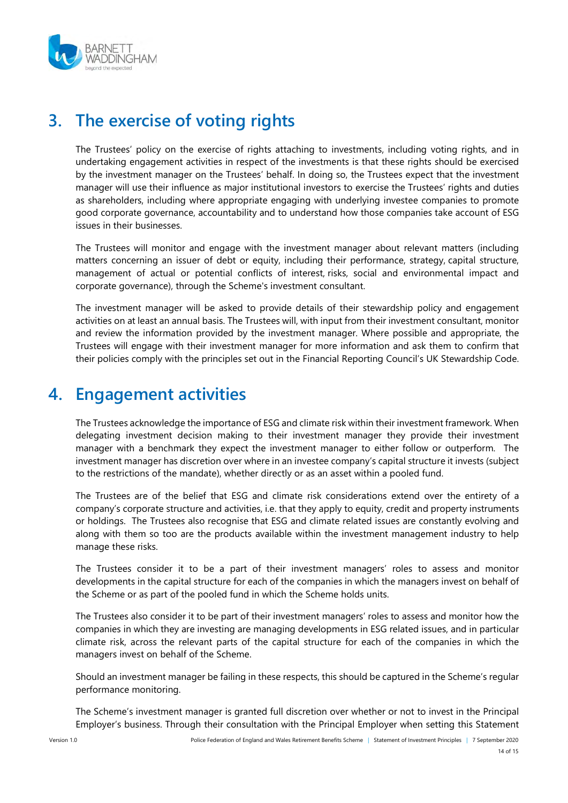

# 3. The exercise of voting rights

The Trustees' policy on the exercise of rights attaching to investments, including voting rights, and in undertaking engagement activities in respect of the investments is that these rights should be exercised by the investment manager on the Trustees' behalf. In doing so, the Trustees expect that the investment manager will use their influence as major institutional investors to exercise the Trustees' rights and duties as shareholders, including where appropriate engaging with underlying investee companies to promote good corporate governance, accountability and to understand how those companies take account of ESG issues in their businesses.

The Trustees will monitor and engage with the investment manager about relevant matters (including matters concerning an issuer of debt or equity, including their performance, strategy, capital structure, management of actual or potential conflicts of interest, risks, social and environmental impact and corporate governance), through the Scheme's investment consultant.

The investment manager will be asked to provide details of their stewardship policy and engagement activities on at least an annual basis. The Trustees will, with input from their investment consultant, monitor and review the information provided by the investment manager. Where possible and appropriate, the Trustees will engage with their investment manager for more information and ask them to confirm that their policies comply with the principles set out in the Financial Reporting Council's UK Stewardship Code.

# 4. Engagement activities

The Trustees acknowledge the importance of ESG and climate risk within their investment framework. When delegating investment decision making to their investment manager they provide their investment manager with a benchmark they expect the investment manager to either follow or outperform. The investment manager has discretion over where in an investee company's capital structure it invests (subject to the restrictions of the mandate), whether directly or as an asset within a pooled fund.

The Trustees are of the belief that ESG and climate risk considerations extend over the entirety of a company's corporate structure and activities, i.e. that they apply to equity, credit and property instruments or holdings. The Trustees also recognise that ESG and climate related issues are constantly evolving and along with them so too are the products available within the investment management industry to help manage these risks.

The Trustees consider it to be a part of their investment managers' roles to assess and monitor developments in the capital structure for each of the companies in which the managers invest on behalf of the Scheme or as part of the pooled fund in which the Scheme holds units.

The Trustees also consider it to be part of their investment managers' roles to assess and monitor how the companies in which they are investing are managing developments in ESG related issues, and in particular climate risk, across the relevant parts of the capital structure for each of the companies in which the managers invest on behalf of the Scheme.

Should an investment manager be failing in these respects, this should be captured in the Scheme's regular performance monitoring.

The Scheme's investment manager is granted full discretion over whether or not to invest in the Principal Employer's business. Through their consultation with the Principal Employer when setting this Statement